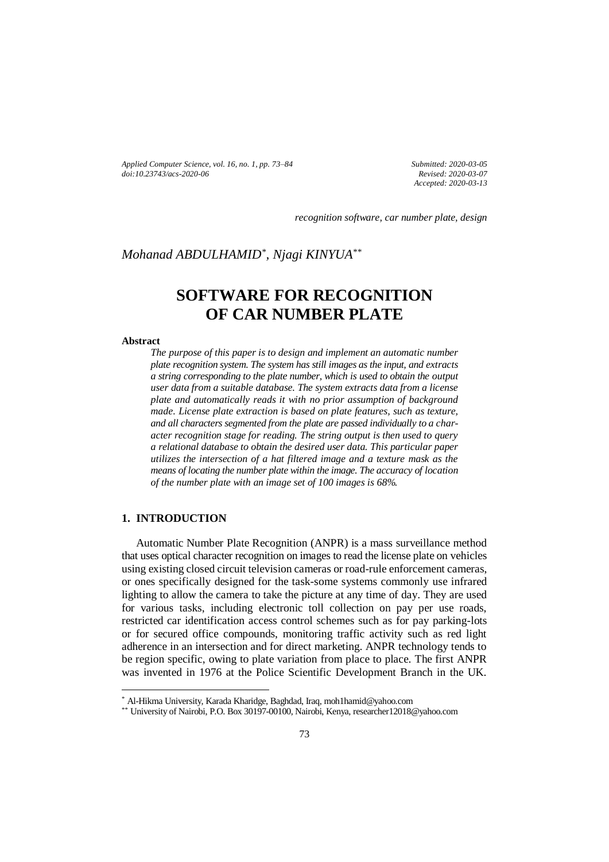*Applied Computer Science, vol. 16, no. 1, pp. 73–84 doi[:10.23743/acs-2020-06](http://acs.pollub.pl/pdf/v16n1/6.pdf)*

*Submitted: 2020-03-05 Revised: 2020-03-07 Accepted: 2020-03-13*

*recognition software, car number plate, design*

# *Mohanad ABDULHAMID\* , Njagi KINYUA\*\**

# **SOFTWARE FOR RECOGNITION OF CAR NUMBER PLATE**

#### **Abstract**

*The purpose of this paper is to design and implement an automatic number plate recognition system. The system has still images as the input, and extracts a string corresponding to the plate number, which is used to obtain the output user data from a suitable database. The system extracts data from a license plate and automatically reads it with no prior assumption of background made. License plate extraction is based on plate features, such as texture, and all characters segmented from the plate are passed individually to a character recognition stage for reading. The string output is then used to query a relational database to obtain the desired user data. This particular paper utilizes the intersection of a hat filtered image and a texture mask as the means of locating the number plate within the image. The accuracy of location of the number plate with an image set of 100 images is 68%.*

#### **1. INTRODUCTION**

 $\overline{a}$ 

Automatic Number Plate Recognition (ANPR) is a mass surveillance method that uses optical character recognition on images to read the license plate on vehicles using existing closed circuit television cameras or road-rule enforcement cameras, or ones specifically designed for the task-some systems commonly use infrared lighting to allow the camera to take the picture at any time of day. They are used for various tasks, including electronic toll collection on pay per use roads, restricted car identification access control schemes such as for pay parking-lots or for secured office compounds, monitoring traffic activity such as red light adherence in an intersection and for direct marketing. ANPR technology tends to be region specific, owing to plate variation from place to place. The first ANPR was invented in 1976 at the Police Scientific Development Branch in the UK.

<sup>\*</sup> Al-Hikma University, Karada Kharidge, Baghdad, Iraq, moh1hamid@yahoo.com

<sup>\*\*</sup> University of Nairobi, P.O. Box 30197-00100, Nairobi, Kenya, researcher12018@yahoo.com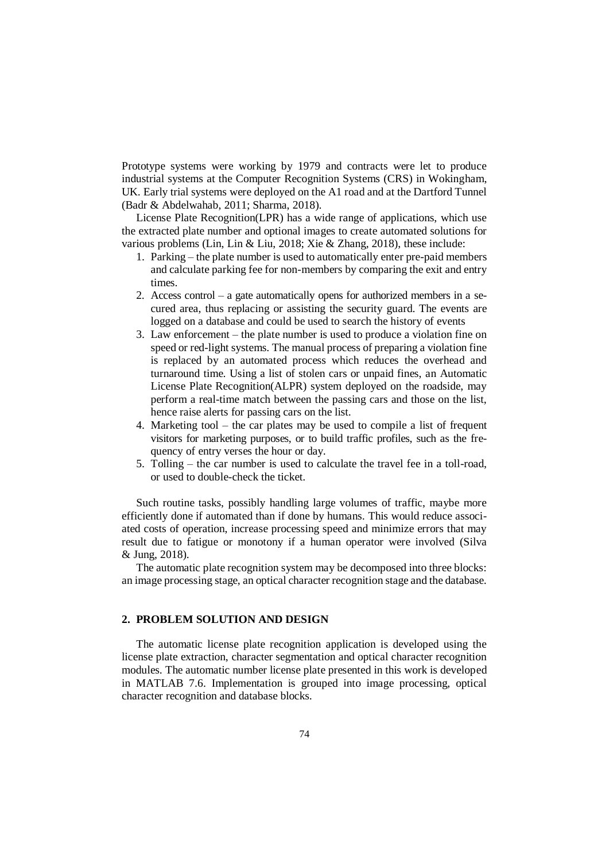Prototype systems were working by 1979 and contracts were let to produce industrial systems at the Computer Recognition Systems (CRS) in Wokingham, UK. Early trial systems were deployed on the A1 road and at the Dartford Tunnel (Badr & Abdelwahab, 2011; Sharma, 2018).

License Plate Recognition(LPR) has a wide range of applications, which use the extracted plate number and optional images to create automated solutions for various problems (Lin, Lin & Liu, 2018; Xie & Zhang, 2018), these include:

- 1. Parking the plate number is used to automatically enter pre-paid members and calculate parking fee for non-members by comparing the exit and entry times.
- 2. Access control a gate automatically opens for authorized members in a secured area, thus replacing or assisting the security guard. The events are logged on a database and could be used to search the history of events
- 3. Law enforcement the plate number is used to produce a violation fine on speed or red-light systems. The manual process of preparing a violation fine is replaced by an automated process which reduces the overhead and turnaround time. Using a list of stolen cars or unpaid fines, an Automatic License Plate Recognition(ALPR) system deployed on the roadside, may perform a real-time match between the passing cars and those on the list, hence raise alerts for passing cars on the list.
- 4. Marketing tool the car plates may be used to compile a list of frequent visitors for marketing purposes, or to build traffic profiles, such as the frequency of entry verses the hour or day.
- 5. Tolling the car number is used to calculate the travel fee in a toll-road, or used to double-check the ticket.

Such routine tasks, possibly handling large volumes of traffic, maybe more efficiently done if automated than if done by humans. This would reduce associated costs of operation, increase processing speed and minimize errors that may result due to fatigue or monotony if a human operator were involved (Silva & Jung, 2018).

The automatic plate recognition system may be decomposed into three blocks: an image processing stage, an optical character recognition stage and the database.

## **2. PROBLEM SOLUTION AND DESIGN**

The automatic license plate recognition application is developed using the license plate extraction, character segmentation and optical character recognition modules. The automatic number license plate presented in this work is developed in MATLAB 7.6. Implementation is grouped into image processing, optical character recognition and database blocks.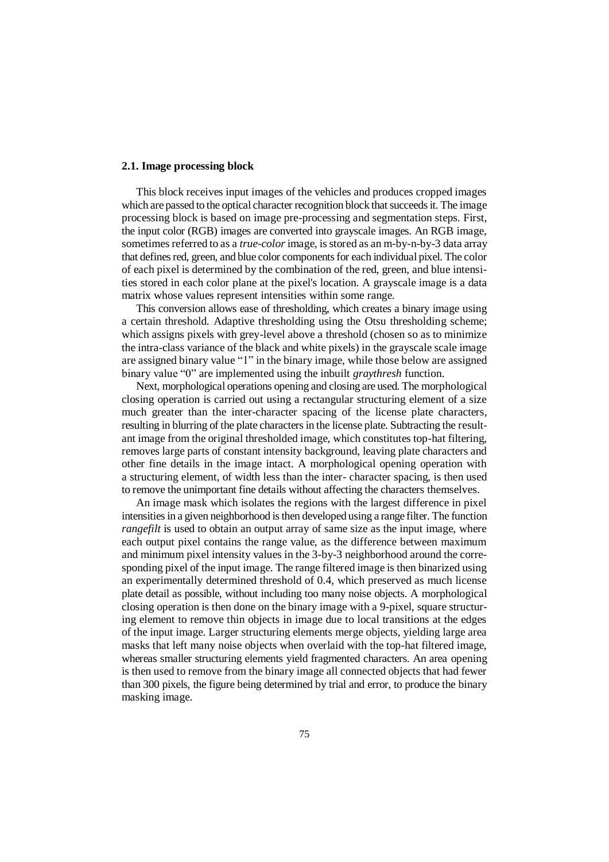### **2.1. Image processing block**

This block receives input images of the vehicles and produces cropped images which are passed to the optical character recognition block that succeeds it. The image processing block is based on image pre-processing and segmentation steps. First, the input color (RGB) images are converted into grayscale images. An RGB image, sometimes referred to as a *true-color* image, is stored as an m-by-n-by-3 data array that defines red, green, and blue color components for each individual pixel. The color of each pixel is determined by the combination of the red, green, and blue intensities stored in each color plane at the pixel's location. A grayscale image is a data matrix whose values represent intensities within some range.

This conversion allows ease of thresholding, which creates a binary image using a certain threshold. Adaptive thresholding using the Otsu thresholding scheme; which assigns pixels with grey-level above a threshold (chosen so as to minimize the intra-class variance of the black and white pixels) in the grayscale scale image are assigned binary value "1" in the binary image, while those below are assigned binary value "0" are implemented using the inbuilt *graythresh* function.

Next, morphological operations opening and closing are used. The morphological closing operation is carried out using a rectangular structuring element of a size much greater than the inter-character spacing of the license plate characters, resulting in blurring of the plate characters in the license plate. Subtracting the resultant image from the original thresholded image, which constitutes top-hat filtering, removes large parts of constant intensity background, leaving plate characters and other fine details in the image intact. A morphological opening operation with a structuring element, of width less than the inter- character spacing, is then used to remove the unimportant fine details without affecting the characters themselves.

An image mask which isolates the regions with the largest difference in pixel intensities in a given neighborhood is then developed using a range filter. The function *rangefilt* is used to obtain an output array of same size as the input image, where each output pixel contains the range value, as the difference between maximum and minimum pixel intensity values in the 3-by-3 neighborhood around the corresponding pixel of the input image. The range filtered image is then binarized using an experimentally determined threshold of 0.4, which preserved as much license plate detail as possible, without including too many noise objects. A morphological closing operation is then done on the binary image with a 9-pixel, square structuring element to remove thin objects in image due to local transitions at the edges of the input image. Larger structuring elements merge objects, yielding large area masks that left many noise objects when overlaid with the top-hat filtered image, whereas smaller structuring elements yield fragmented characters. An area opening is then used to remove from the binary image all connected objects that had fewer than 300 pixels, the figure being determined by trial and error, to produce the binary masking image.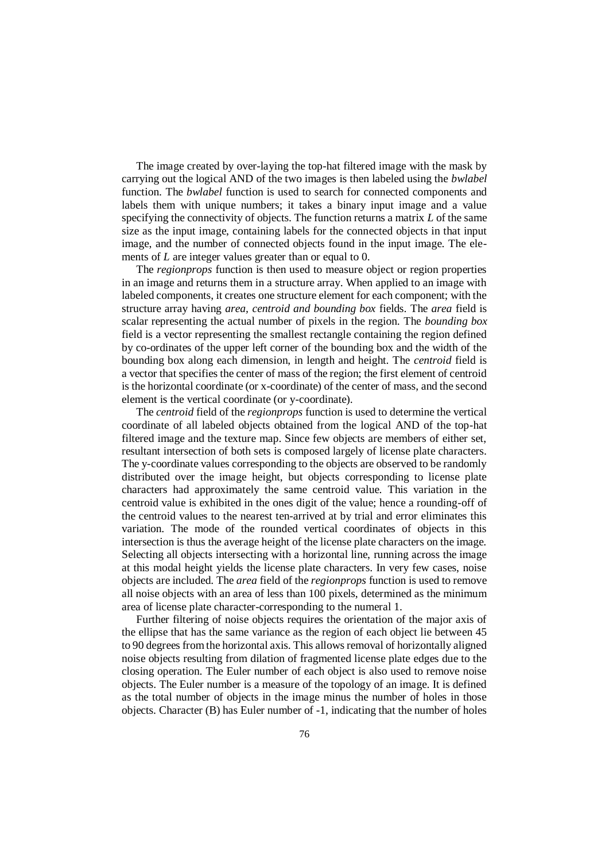The image created by over-laying the top-hat filtered image with the mask by carrying out the logical AND of the two images is then labeled using the *bwlabel* function. The *bwlabel* function is used to search for connected components and labels them with unique numbers; it takes a binary input image and a value specifying the connectivity of objects. The function returns a matrix *L* of the same size as the input image, containing labels for the connected objects in that input image, and the number of connected objects found in the input image. The elements of *L* are integer values greater than or equal to 0.

The *regionprops* function is then used to measure object or region properties in an image and returns them in a structure array. When applied to an image with labeled components, it creates one structure element for each component; with the structure array having *area, centroid and bounding box* fields. The *area* field is scalar representing the actual number of pixels in the region. The *bounding box* field is a vector representing the smallest rectangle containing the region defined by co-ordinates of the upper left corner of the bounding box and the width of the bounding box along each dimension, in length and height. The *centroid* field is a vector that specifies the center of mass of the region; the first element of centroid is the horizontal coordinate (or x-coordinate) of the center of mass, and the second element is the vertical coordinate (or y-coordinate).

The *centroid* field of the *regionprops* function is used to determine the vertical coordinate of all labeled objects obtained from the logical AND of the top-hat filtered image and the texture map. Since few objects are members of either set, resultant intersection of both sets is composed largely of license plate characters. The y-coordinate values corresponding to the objects are observed to be randomly distributed over the image height, but objects corresponding to license plate characters had approximately the same centroid value. This variation in the centroid value is exhibited in the ones digit of the value; hence a rounding-off of the centroid values to the nearest ten-arrived at by trial and error eliminates this variation. The mode of the rounded vertical coordinates of objects in this intersection is thus the average height of the license plate characters on the image. Selecting all objects intersecting with a horizontal line, running across the image at this modal height yields the license plate characters. In very few cases, noise objects are included. The *area* field of the *regionprops* function is used to remove all noise objects with an area of less than 100 pixels, determined as the minimum area of license plate character-corresponding to the numeral 1.

Further filtering of noise objects requires the orientation of the major axis of the ellipse that has the same variance as the region of each object lie between 45 to 90 degrees from the horizontal axis. This allows removal of horizontally aligned noise objects resulting from dilation of fragmented license plate edges due to the closing operation. The Euler number of each object is also used to remove noise objects. The Euler number is a measure of the topology of an image. It is defined as the total number of objects in the image minus the number of holes in those objects. Character (B) has Euler number of -1, indicating that the number of holes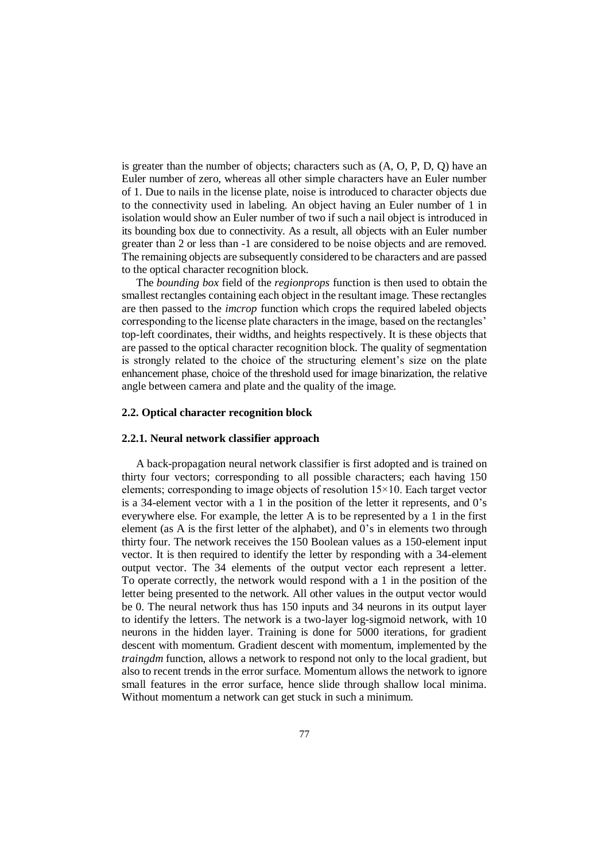is greater than the number of objects; characters such as (A, O, P, D, Q) have an Euler number of zero, whereas all other simple characters have an Euler number of 1. Due to nails in the license plate, noise is introduced to character objects due to the connectivity used in labeling. An object having an Euler number of 1 in isolation would show an Euler number of two if such a nail object is introduced in its bounding box due to connectivity. As a result, all objects with an Euler number greater than 2 or less than -1 are considered to be noise objects and are removed. The remaining objects are subsequently considered to be characters and are passed to the optical character recognition block.

The *bounding box* field of the *regionprops* function is then used to obtain the smallest rectangles containing each object in the resultant image. These rectangles are then passed to the *imcrop* function which crops the required labeled objects corresponding to the license plate characters in the image, based on the rectangles' top-left coordinates, their widths, and heights respectively. It is these objects that are passed to the optical character recognition block. The quality of segmentation is strongly related to the choice of the structuring element's size on the plate enhancement phase, choice of the threshold used for image binarization, the relative angle between camera and plate and the quality of the image.

### **2.2. Optical character recognition block**

#### **2.2.1. Neural network classifier approach**

A back-propagation neural network classifier is first adopted and is trained on thirty four vectors; corresponding to all possible characters; each having 150 elements; corresponding to image objects of resolution 15×10. Each target vector is a 34-element vector with a 1 in the position of the letter it represents, and 0's everywhere else. For example, the letter A is to be represented by a 1 in the first element (as A is the first letter of the alphabet), and  $0$ 's in elements two through thirty four. The network receives the 150 Boolean values as a 150-element input vector. It is then required to identify the letter by responding with a 34-element output vector. The 34 elements of the output vector each represent a letter. To operate correctly, the network would respond with a 1 in the position of the letter being presented to the network. All other values in the output vector would be 0. The neural network thus has 150 inputs and 34 neurons in its output layer to identify the letters. The network is a two-layer log-sigmoid network, with 10 neurons in the hidden layer. Training is done for 5000 iterations, for gradient descent with momentum. Gradient descent with momentum, implemented by the *traingdm* function, allows a network to respond not only to the local gradient, but also to recent trends in the error surface. Momentum allows the network to ignore small features in the error surface, hence slide through shallow local minima. Without momentum a network can get stuck in such a minimum.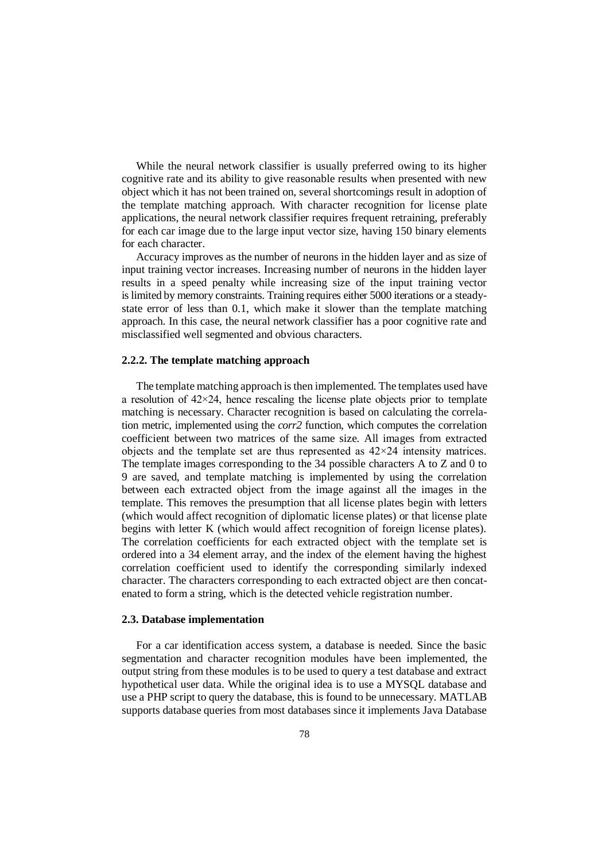While the neural network classifier is usually preferred owing to its higher cognitive rate and its ability to give reasonable results when presented with new object which it has not been trained on, several shortcomings result in adoption of the template matching approach. With character recognition for license plate applications, the neural network classifier requires frequent retraining, preferably for each car image due to the large input vector size, having 150 binary elements for each character.

Accuracy improves as the number of neurons in the hidden layer and as size of input training vector increases. Increasing number of neurons in the hidden layer results in a speed penalty while increasing size of the input training vector is limited by memory constraints. Training requires either 5000 iterations or a steadystate error of less than 0.1, which make it slower than the template matching approach. In this case, the neural network classifier has a poor cognitive rate and misclassified well segmented and obvious characters.

#### **2.2.2. The template matching approach**

The template matching approach is then implemented. The templates used have a resolution of  $42 \times 24$ , hence rescaling the license plate objects prior to template matching is necessary. Character recognition is based on calculating the correlation metric, implemented using the *corr2* function, which computes the correlation coefficient between two matrices of the same size. All images from extracted objects and the template set are thus represented as  $42 \times 24$  intensity matrices. The template images corresponding to the 34 possible characters A to Z and 0 to 9 are saved, and template matching is implemented by using the correlation between each extracted object from the image against all the images in the template. This removes the presumption that all license plates begin with letters (which would affect recognition of diplomatic license plates) or that license plate begins with letter K (which would affect recognition of foreign license plates). The correlation coefficients for each extracted object with the template set is ordered into a 34 element array, and the index of the element having the highest correlation coefficient used to identify the corresponding similarly indexed character. The characters corresponding to each extracted object are then concatenated to form a string, which is the detected vehicle registration number.

#### **2.3. Database implementation**

For a car identification access system, a database is needed. Since the basic segmentation and character recognition modules have been implemented, the output string from these modules is to be used to query a test database and extract hypothetical user data. While the original idea is to use a MYSQL database and use a PHP script to query the database, this is found to be unnecessary. MATLAB supports database queries from most databases since it implements Java Database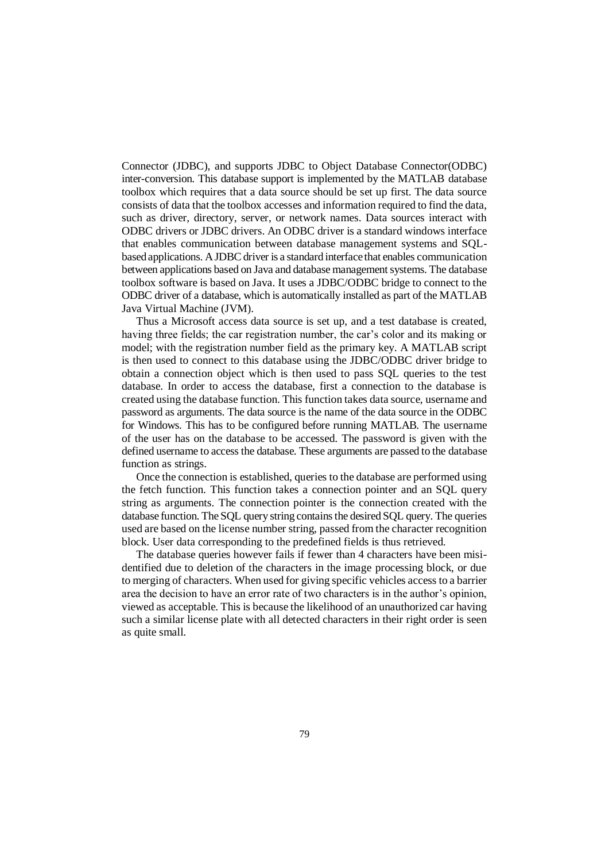Connector (JDBC), and supports JDBC to Object Database Connector(ODBC) inter-conversion. This database support is implemented by the MATLAB database toolbox which requires that a data source should be set up first. The data source consists of data that the toolbox accesses and information required to find the data, such as driver, directory, server, or network names. Data sources interact with ODBC drivers or JDBC drivers. An ODBC driver is a standard windows interface that enables communication between database management systems and SQLbased applications. A JDBC driver is a standard interface that enables communication between applications based on Java and database management systems. The database toolbox software is based on Java. It uses a JDBC/ODBC bridge to connect to the ODBC driver of a database, which is automatically installed as part of the MATLAB Java Virtual Machine (JVM).

Thus a Microsoft access data source is set up, and a test database is created, having three fields; the car registration number, the car's color and its making or model; with the registration number field as the primary key. A MATLAB script is then used to connect to this database using the JDBC/ODBC driver bridge to obtain a connection object which is then used to pass SQL queries to the test database. In order to access the database, first a connection to the database is created using the database function. This function takes data source, username and password as arguments. The data source is the name of the data source in the ODBC for Windows. This has to be configured before running MATLAB. The username of the user has on the database to be accessed. The password is given with the defined username to access the database. These arguments are passed to the database function as strings.

Once the connection is established, queries to the database are performed using the fetch function. This function takes a connection pointer and an SQL query string as arguments. The connection pointer is the connection created with the database function. The SQL query string contains the desired SQL query. The queries used are based on the license number string, passed from the character recognition block. User data corresponding to the predefined fields is thus retrieved.

The database queries however fails if fewer than 4 characters have been misidentified due to deletion of the characters in the image processing block, or due to merging of characters. When used for giving specific vehicles access to a barrier area the decision to have an error rate of two characters is in the author's opinion, viewed as acceptable. This is because the likelihood of an unauthorized car having such a similar license plate with all detected characters in their right order is seen as quite small.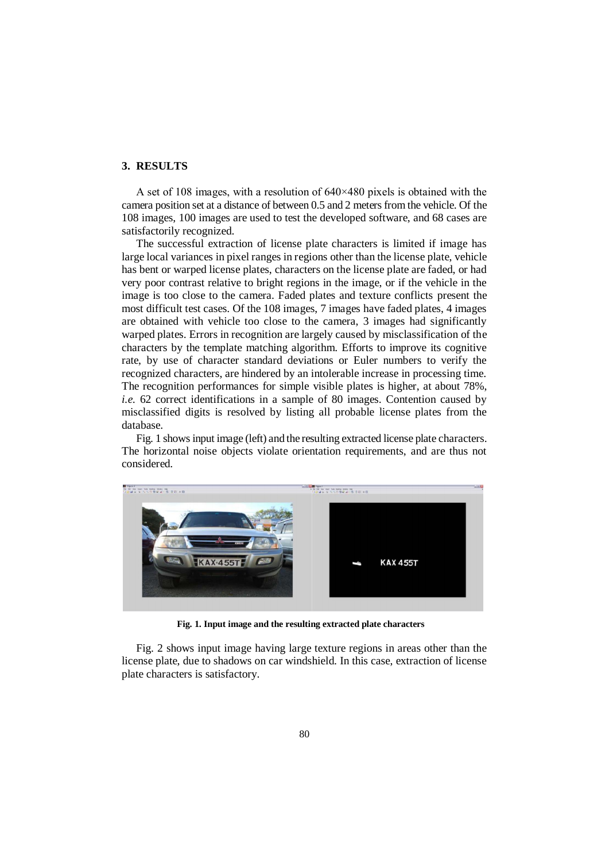### **3. RESULTS**

A set of 108 images, with a resolution of  $640 \times 480$  pixels is obtained with the camera position set at a distance of between 0.5 and 2 meters from the vehicle. Of the 108 images, 100 images are used to test the developed software, and 68 cases are satisfactorily recognized.

The successful extraction of license plate characters is limited if image has large local variances in pixel ranges in regions other than the license plate, vehicle has bent or warped license plates, characters on the license plate are faded, or had very poor contrast relative to bright regions in the image, or if the vehicle in the image is too close to the camera. Faded plates and texture conflicts present the most difficult test cases. Of the 108 images, 7 images have faded plates, 4 images are obtained with vehicle too close to the camera, 3 images had significantly warped plates. Errors in recognition are largely caused by misclassification of the characters by the template matching algorithm. Efforts to improve its cognitive rate, by use of character standard deviations or Euler numbers to verify the recognized characters, are hindered by an intolerable increase in processing time. The recognition performances for simple visible plates is higher, at about 78%, *i.e.* 62 correct identifications in a sample of 80 images. Contention caused by misclassified digits is resolved by listing all probable license plates from the database.

Fig. 1 shows input image (left) and the resulting extracted license plate characters. The horizontal noise objects violate orientation requirements, and are thus not considered.



**Fig. 1. Input image and the resulting extracted plate characters**

Fig. 2 shows input image having large texture regions in areas other than the license plate, due to shadows on car windshield. In this case, extraction of license plate characters is satisfactory.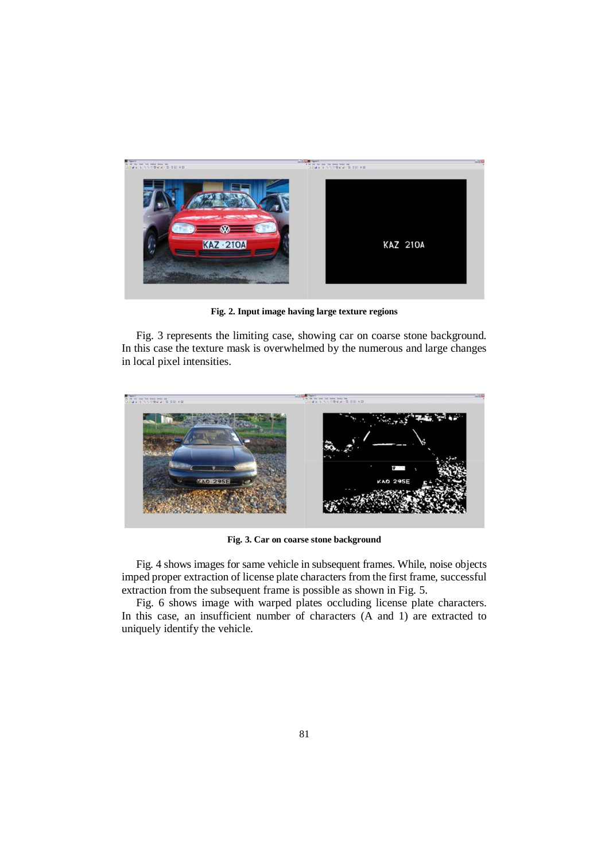

**Fig. 2. Input image having large texture regions**

Fig. 3 represents the limiting case, showing car on coarse stone background. In this case the texture mask is overwhelmed by the numerous and large changes in local pixel intensities.



**Fig. 3. Car on coarse stone background**

Fig. 4 shows images for same vehicle in subsequent frames. While, noise objects imped proper extraction of license plate characters from the first frame, successful extraction from the subsequent frame is possible as shown in Fig. 5.

Fig. 6 shows image with warped plates occluding license plate characters. In this case, an insufficient number of characters (A and 1) are extracted to uniquely identify the vehicle.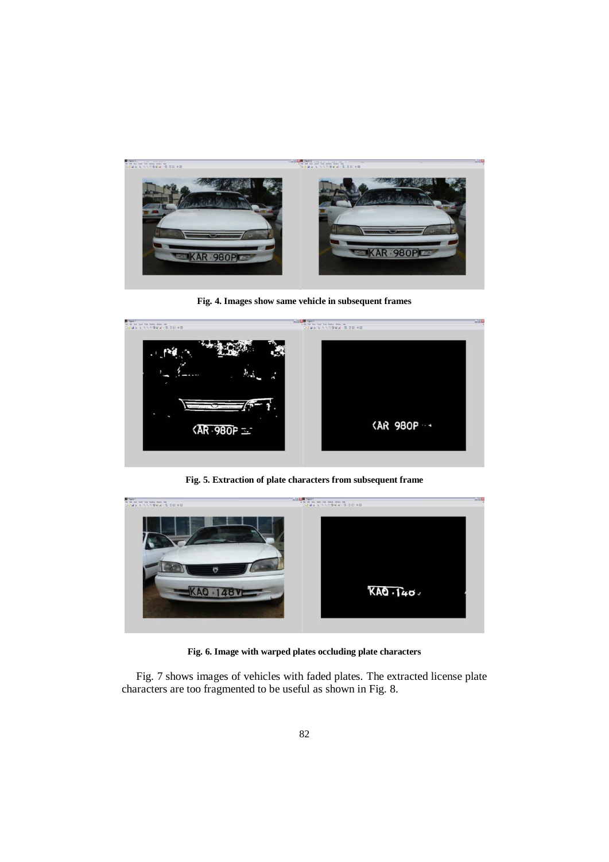

**Fig. 4. Images show same vehicle in subsequent frames**



**Fig. 5. Extraction of plate characters from subsequent frame**

| <b>EXECUTIVE</b> | <b>WILLIAM TWEET</b><br>$10494777096877010180$ | Thick |
|------------------|------------------------------------------------|-------|
| $\ddot{\sigma}$  | KAO.140.                                       |       |
|                  |                                                |       |

**Fig. 6. Image with warped plates occluding plate characters**

Fig. 7 shows images of vehicles with faded plates. The extracted license plate characters are too fragmented to be useful as shown in Fig. 8.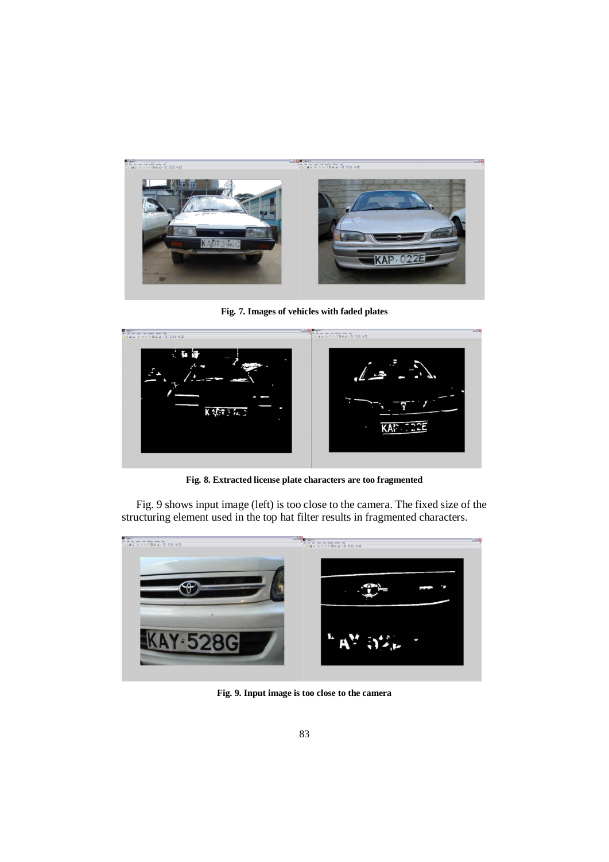

**Fig. 7. Images of vehicles with faded plates**



**Fig. 8. Extracted license plate characters are too fragmented** 

Fig. 9 shows input image (left) is too close to the camera. The fixed size of the structuring element used in the top hat filter results in fragmented characters.



**Fig. 9. Input image is too close to the camera**